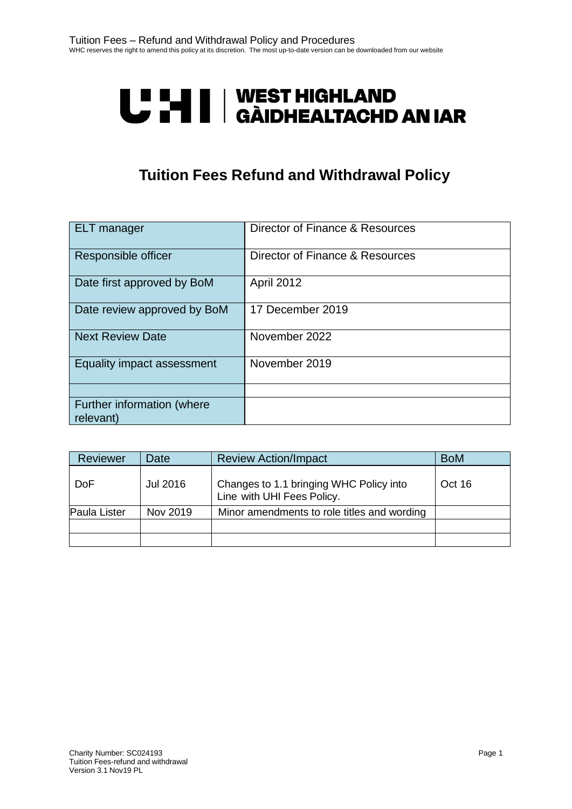# **U "HI | WEST HIGHLAND<br>U THI | GÀIDHEALTACHD AN IAR**

# **Tuition Fees Refund and Withdrawal Policy**

| <b>ELT</b> manager                      | Director of Finance & Resources |
|-----------------------------------------|---------------------------------|
| Responsible officer                     | Director of Finance & Resources |
| Date first approved by BoM              | <b>April 2012</b>               |
| Date review approved by BoM             | 17 December 2019                |
| <b>Next Review Date</b>                 | November 2022                   |
| Equality impact assessment              | November 2019                   |
|                                         |                                 |
| Further information (where<br>relevant) |                                 |

| Reviewer     | Date     | <b>Review Action/Impact</b>                                           | <b>BoM</b> |
|--------------|----------|-----------------------------------------------------------------------|------------|
| <b>DoF</b>   | Jul 2016 | Changes to 1.1 bringing WHC Policy into<br>Line with UHI Fees Policy. | Oct 16     |
| Paula Lister | Nov 2019 | Minor amendments to role titles and wording                           |            |
|              |          |                                                                       |            |
|              |          |                                                                       |            |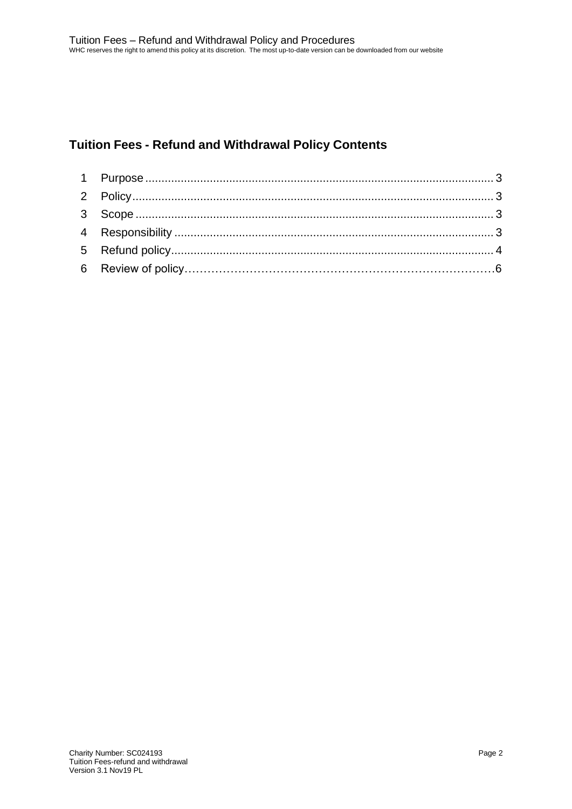# **Tuition Fees - Refund and Withdrawal Policy Contents**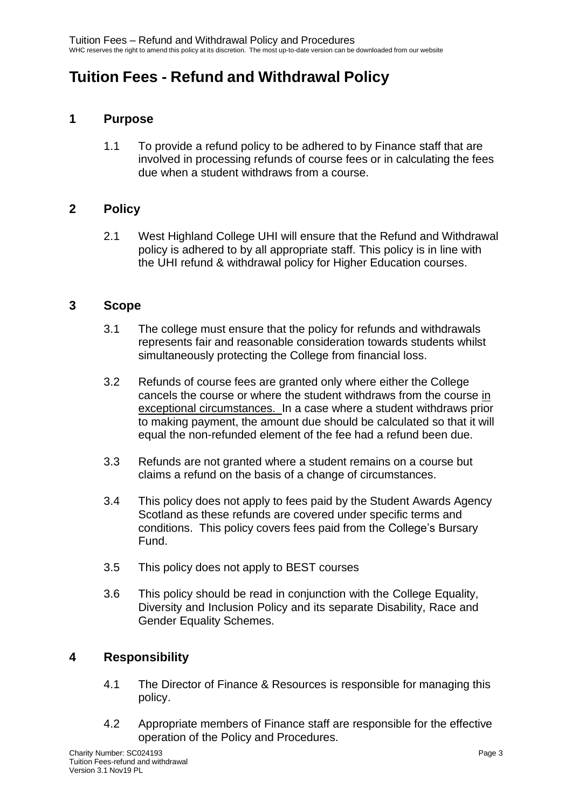# <span id="page-2-0"></span>**Tuition Fees - Refund and Withdrawal Policy**

# **1 Purpose**

1.1 To provide a refund policy to be adhered to by Finance staff that are involved in processing refunds of course fees or in calculating the fees due when a student withdraws from a course.

## <span id="page-2-1"></span>**2 Policy**

2.1 West Highland College UHI will ensure that the Refund and Withdrawal policy is adhered to by all appropriate staff. This policy is in line with the UHI refund & withdrawal policy for Higher Education courses.

#### <span id="page-2-2"></span>**3 Scope**

- 3.1 The college must ensure that the policy for refunds and withdrawals represents fair and reasonable consideration towards students whilst simultaneously protecting the College from financial loss.
- 3.2 Refunds of course fees are granted only where either the College cancels the course or where the student withdraws from the course in exceptional circumstances. In a case where a student withdraws prior to making payment, the amount due should be calculated so that it will equal the non-refunded element of the fee had a refund been due.
- 3.3 Refunds are not granted where a student remains on a course but claims a refund on the basis of a change of circumstances.
- 3.4 This policy does not apply to fees paid by the Student Awards Agency Scotland as these refunds are covered under specific terms and conditions. This policy covers fees paid from the College's Bursary Fund.
- 3.5 This policy does not apply to BEST courses
- 3.6 This policy should be read in conjunction with the College Equality, Diversity and Inclusion Policy and its separate Disability, Race and Gender Equality Schemes.

## <span id="page-2-3"></span>**4 Responsibility**

- 4.1 The Director of Finance & Resources is responsible for managing this policy.
- 4.2 Appropriate members of Finance staff are responsible for the effective operation of the Policy and Procedures.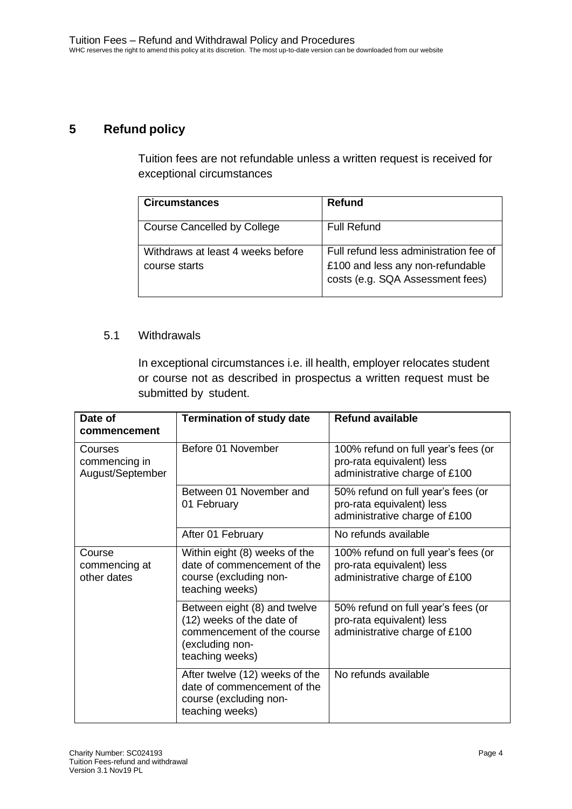# <span id="page-3-0"></span>**5 Refund policy**

Tuition fees are not refundable unless a written request is received for exceptional circumstances

| <b>Circumstances</b>                               | Refund                                                                                                         |
|----------------------------------------------------|----------------------------------------------------------------------------------------------------------------|
| Course Cancelled by College                        | Full Refund                                                                                                    |
| Withdraws at least 4 weeks before<br>course starts | Full refund less administration fee of<br>£100 and less any non-refundable<br>costs (e.g. SQA Assessment fees) |

#### 5.1 Withdrawals

In exceptional circumstances i.e. ill health, employer relocates student or course not as described in prospectus a written request must be submitted by student.

| Date of<br>commencement                      | <b>Termination of study date</b>                                                                                              | <b>Refund available</b>                                                                           |
|----------------------------------------------|-------------------------------------------------------------------------------------------------------------------------------|---------------------------------------------------------------------------------------------------|
| Courses<br>commencing in<br>August/September | Before 01 November                                                                                                            | 100% refund on full year's fees (or<br>pro-rata equivalent) less<br>administrative charge of £100 |
|                                              | Between 01 November and<br>01 February                                                                                        | 50% refund on full year's fees (or<br>pro-rata equivalent) less<br>administrative charge of £100  |
|                                              | After 01 February                                                                                                             | No refunds available                                                                              |
| Course<br>commencing at<br>other dates       | Within eight (8) weeks of the<br>date of commencement of the<br>course (excluding non-<br>teaching weeks)                     | 100% refund on full year's fees (or<br>pro-rata equivalent) less<br>administrative charge of £100 |
|                                              | Between eight (8) and twelve<br>(12) weeks of the date of<br>commencement of the course<br>(excluding non-<br>teaching weeks) | 50% refund on full year's fees (or<br>pro-rata equivalent) less<br>administrative charge of £100  |
|                                              | After twelve (12) weeks of the<br>date of commencement of the<br>course (excluding non-<br>teaching weeks)                    | No refunds available                                                                              |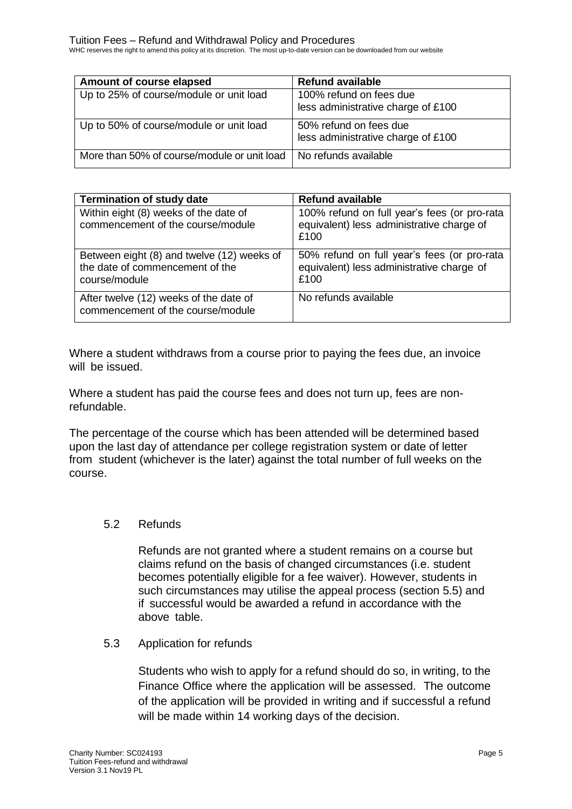WHC reserves the right to amend this policy at its discretion. The most up-to-date version can be downloaded from our website

| Amount of course elapsed                    | <b>Refund available</b>            |
|---------------------------------------------|------------------------------------|
| Up to 25% of course/module or unit load     | 100% refund on fees due            |
|                                             | less administrative charge of £100 |
| Up to 50% of course/module or unit load     | 50% refund on fees due             |
|                                             | less administrative charge of £100 |
| More than 50% of course/module or unit load | No refunds available               |

| <b>Termination of study date</b>                                                               | <b>Refund available</b>                                                                           |
|------------------------------------------------------------------------------------------------|---------------------------------------------------------------------------------------------------|
| Within eight (8) weeks of the date of<br>commencement of the course/module                     | 100% refund on full year's fees (or pro-rata<br>equivalent) less administrative charge of<br>£100 |
| Between eight (8) and twelve (12) weeks of<br>the date of commencement of the<br>course/module | 50% refund on full year's fees (or pro-rata<br>equivalent) less administrative charge of<br>£100  |
| After twelve (12) weeks of the date of<br>commencement of the course/module                    | No refunds available                                                                              |

Where a student withdraws from a course prior to paying the fees due, an invoice will be issued.

Where a student has paid the course fees and does not turn up, fees are nonrefundable.

The percentage of the course which has been attended will be determined based upon the last day of attendance per college registration system or date of letter from student (whichever is the later) against the total number of full weeks on the course.

## 5.2 Refunds

Refunds are not granted where a student remains on a course but claims refund on the basis of changed circumstances (i.e. student becomes potentially eligible for a fee waiver). However, students in such circumstances may utilise the appeal process (section 5.5) and if successful would be awarded a refund in accordance with the above table.

#### 5.3 Application for refunds

Students who wish to apply for a refund should do so, in writing, to the Finance Office where the application will be assessed. The outcome of the application will be provided in writing and if successful a refund will be made within 14 working days of the decision.